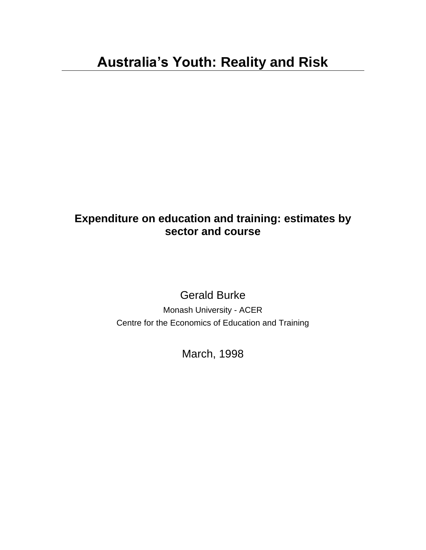### **Expenditure on education and training: estimates by sector and course**

Gerald Burke

Monash University - ACER Centre for the Economics of Education and Training

March, 1998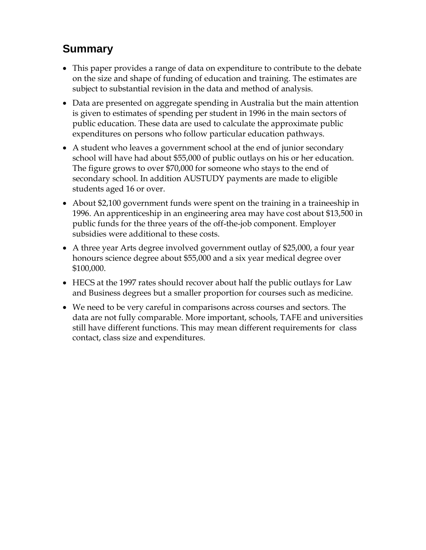# **Summary**

- This paper provides a range of data on expenditure to contribute to the debate on the size and shape of funding of education and training. The estimates are subject to substantial revision in the data and method of analysis.
- Data are presented on aggregate spending in Australia but the main attention is given to estimates of spending per student in 1996 in the main sectors of public education. These data are used to calculate the approximate public expenditures on persons who follow particular education pathways.
- A student who leaves a government school at the end of junior secondary school will have had about \$55,000 of public outlays on his or her education. The figure grows to over \$70,000 for someone who stays to the end of secondary school. In addition AUSTUDY payments are made to eligible students aged 16 or over.
- About \$2,100 government funds were spent on the training in a traineeship in 1996. An apprenticeship in an engineering area may have cost about \$13,500 in public funds for the three years of the off-the-job component. Employer subsidies were additional to these costs.
- A three year Arts degree involved government outlay of \$25,000, a four year honours science degree about \$55,000 and a six year medical degree over \$100,000.
- HECS at the 1997 rates should recover about half the public outlays for Law and Business degrees but a smaller proportion for courses such as medicine.
- We need to be very careful in comparisons across courses and sectors. The data are not fully comparable. More important, schools, TAFE and universities still have different functions. This may mean different requirements for class contact, class size and expenditures.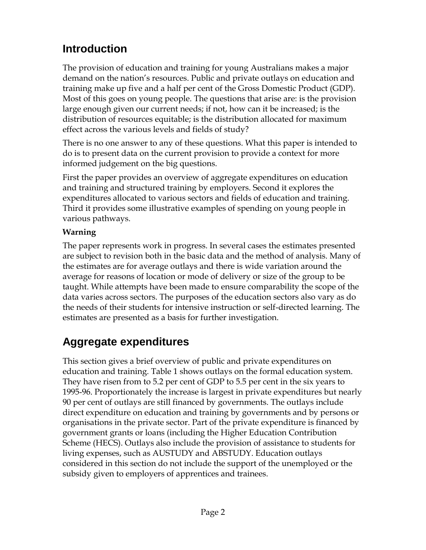# **Introduction**

The provision of education and training for young Australians makes a major demand on the nation's resources. Public and private outlays on education and training make up five and a half per cent of the Gross Domestic Product (GDP). Most of this goes on young people. The questions that arise are: is the provision large enough given our current needs; if not, how can it be increased; is the distribution of resources equitable; is the distribution allocated for maximum effect across the various levels and fields of study?

There is no one answer to any of these questions. What this paper is intended to do is to present data on the current provision to provide a context for more informed judgement on the big questions.

First the paper provides an overview of aggregate expenditures on education and training and structured training by employers. Second it explores the expenditures allocated to various sectors and fields of education and training. Third it provides some illustrative examples of spending on young people in various pathways.

### **Warning**

The paper represents work in progress. In several cases the estimates presented are subject to revision both in the basic data and the method of analysis. Many of the estimates are for average outlays and there is wide variation around the average for reasons of location or mode of delivery or size of the group to be taught. While attempts have been made to ensure comparability the scope of the data varies across sectors. The purposes of the education sectors also vary as do the needs of their students for intensive instruction or self-directed learning. The estimates are presented as a basis for further investigation.

# **Aggregate expenditures**

This section gives a brief overview of public and private expenditures on education and training. Table 1 shows outlays on the formal education system. They have risen from to 5.2 per cent of GDP to 5.5 per cent in the six years to 1995-96. Proportionately the increase is largest in private expenditures but nearly 90 per cent of outlays are still financed by governments. The outlays include direct expenditure on education and training by governments and by persons or organisations in the private sector. Part of the private expenditure is financed by government grants or loans (including the Higher Education Contribution Scheme (HECS). Outlays also include the provision of assistance to students for living expenses, such as AUSTUDY and ABSTUDY. Education outlays considered in this section do not include the support of the unemployed or the subsidy given to employers of apprentices and trainees.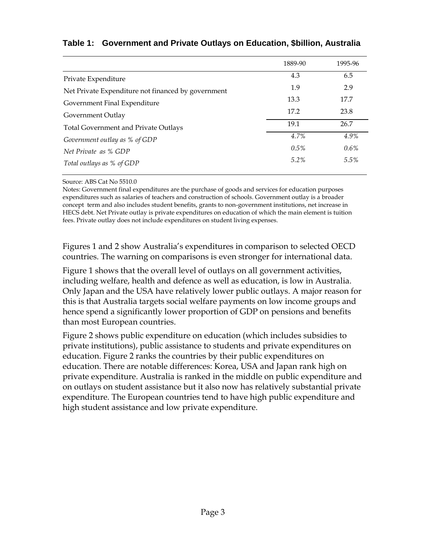|  |  |  |  | Table 1: Government and Private Outlays on Education, \$billion, Australia |
|--|--|--|--|----------------------------------------------------------------------------|
|--|--|--|--|----------------------------------------------------------------------------|

|                                                    | 1889-90 | 1995-96 |
|----------------------------------------------------|---------|---------|
| Private Expenditure                                | 4.3     | 6.5     |
| Net Private Expenditure not financed by government | 1.9     | 2.9     |
| Government Final Expenditure                       | 13.3    | 17.7    |
| Government Outlay                                  | 17.2    | 23.8    |
| <b>Total Government and Private Outlays</b>        | 19.1    | 26.7    |
| Government outlay as % of GDP                      | 4.7%    | 4.9%    |
| Net Private as % GDP                               | $0.5\%$ | $0.6\%$ |
| Total outlays as % of GDP                          | $5.2\%$ | 5.5%    |

Source: ABS Cat No 5510.0

Notes: Government final expenditures are the purchase of goods and services for education purposes expenditures such as salaries of teachers and construction of schools. Government outlay is a broader concept term and also includes student benefits, grants to non-government institutions, net increase in HECS debt. Net Private outlay is private expenditures on education of which the main element is tuition fees. Private outlay does not include expenditures on student living expenses.

Figures 1 and 2 show Australia's expenditures in comparison to selected OECD countries. The warning on comparisons is even stronger for international data.

Figure 1 shows that the overall level of outlays on all government activities, including welfare, health and defence as well as education, is low in Australia. Only Japan and the USA have relatively lower public outlays. A major reason for this is that Australia targets social welfare payments on low income groups and hence spend a significantly lower proportion of GDP on pensions and benefits than most European countries.

Figure 2 shows public expenditure on education (which includes subsidies to private institutions), public assistance to students and private expenditures on education. Figure 2 ranks the countries by their public expenditures on education. There are notable differences: Korea, USA and Japan rank high on private expenditure. Australia is ranked in the middle on public expenditure and on outlays on student assistance but it also now has relatively substantial private expenditure. The European countries tend to have high public expenditure and high student assistance and low private expenditure.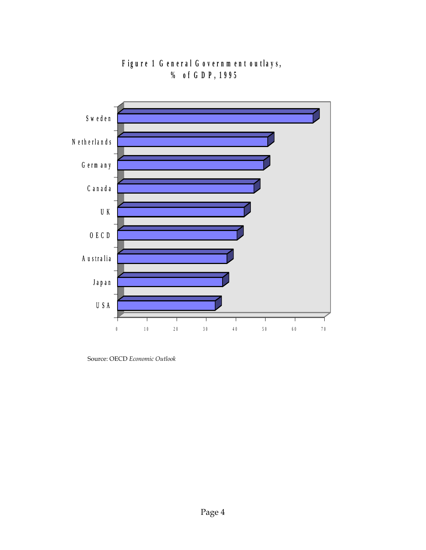

**Figure 1 G eneral G overnment outlays, eneral Governme**<br>  $\%$  of GDP, 1995

Source: OECD *Economic Outlook*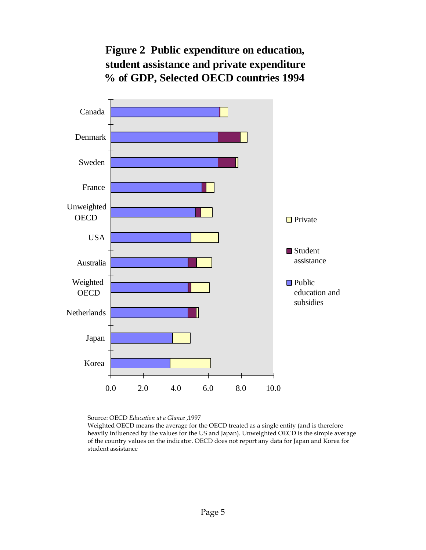## **Figure 2 Public expenditure on education, student assistance and private expenditure % of GDP, Selected OECD countries 1994**



Source: OECD *Education at a Glance* ,1997

Weighted OECD means the average for the OECD treated as a single entity (and is therefore heavily influenced by the values for the US and Japan). Unweighted OECD is the simple average of the country values on the indicator. OECD does not report any data for Japan and Korea for student assistance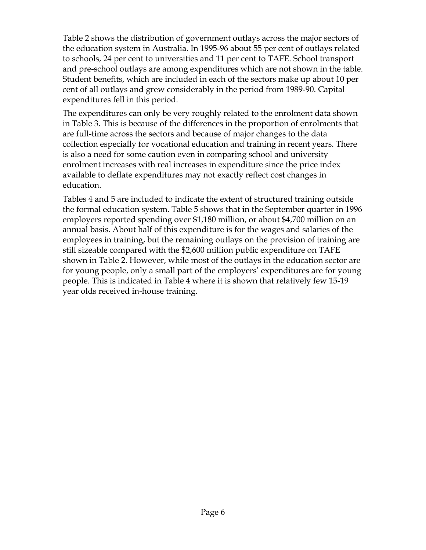Table 2 shows the distribution of government outlays across the major sectors of the education system in Australia. In 1995-96 about 55 per cent of outlays related to schools, 24 per cent to universities and 11 per cent to TAFE. School transport and pre-school outlays are among expenditures which are not shown in the table. Student benefits, which are included in each of the sectors make up about 10 per cent of all outlays and grew considerably in the period from 1989-90. Capital expenditures fell in this period.

The expenditures can only be very roughly related to the enrolment data shown in Table 3. This is because of the differences in the proportion of enrolments that are full-time across the sectors and because of major changes to the data collection especially for vocational education and training in recent years. There is also a need for some caution even in comparing school and university enrolment increases with real increases in expenditure since the price index available to deflate expenditures may not exactly reflect cost changes in education.

Tables 4 and 5 are included to indicate the extent of structured training outside the formal education system. Table 5 shows that in the September quarter in 1996 employers reported spending over \$1,180 million, or about \$4,700 million on an annual basis. About half of this expenditure is for the wages and salaries of the employees in training, but the remaining outlays on the provision of training are still sizeable compared with the \$2,600 million public expenditure on TAFE shown in Table 2. However, while most of the outlays in the education sector are for young people, only a small part of the employers' expenditures are for young people. This is indicated in Table 4 where it is shown that relatively few 15-19 year olds received in-house training.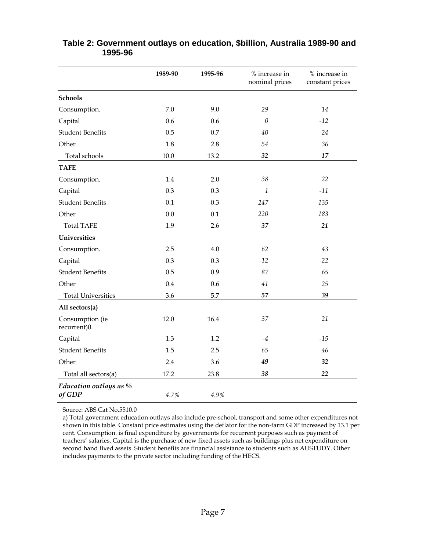|                                  | 1989-90 | 1995-96 | % increase in<br>nominal prices | % increase in<br>constant prices |
|----------------------------------|---------|---------|---------------------------------|----------------------------------|
| <b>Schools</b>                   |         |         |                                 |                                  |
| Consumption.                     | 7.0     | 9.0     | 29                              | 14                               |
| Capital                          | 0.6     | 0.6     | $\theta$                        | $-12$                            |
| <b>Student Benefits</b>          | 0.5     | 0.7     | 40                              | 24                               |
| Other                            | 1.8     | 2.8     | 54                              | 36                               |
| Total schools                    | 10.0    | 13.2    | 32                              | 17                               |
| <b>TAFE</b>                      |         |         |                                 |                                  |
| Consumption.                     | 1.4     | 2.0     | 38                              | 22                               |
| Capital                          | 0.3     | 0.3     | 1                               | $-11$                            |
| <b>Student Benefits</b>          | 0.1     | 0.3     | 247                             | 135                              |
| Other                            | 0.0     | 0.1     | 220                             | 183                              |
| <b>Total TAFE</b>                | 1.9     | 2.6     | 37                              | 21                               |
| Universities                     |         |         |                                 |                                  |
| Consumption.                     | 2.5     | 4.0     | 62                              | 43                               |
| Capital                          | 0.3     | 0.3     | $-12$                           | $-22$                            |
| <b>Student Benefits</b>          | 0.5     | 0.9     | 87                              | 65                               |
| Other                            | 0.4     | 0.6     | 41                              | 25                               |
| <b>Total Universities</b>        | 3.6     | 5.7     | 57                              | 39                               |
| All sectors(a)                   |         |         |                                 |                                  |
| Consumption (ie<br>recurrent)0.  | 12.0    | 16.4    | 37                              | 21                               |
| Capital                          | 1.3     | 1.2     | -4                              | $-15$                            |
| <b>Student Benefits</b>          | 1.5     | 2.5     | 65                              | 46                               |
| Other                            | 2.4     | 3.6     | 49                              | 32                               |
| Total all sectors(a)             | 17.2    | 23.8    | 38                              | 22                               |
| Education outlays as %<br>of GDP | 4.7%    | 4.9%    |                                 |                                  |

#### **Table 2: Government outlays on education, \$billion, Australia 1989-90 and 1995-96**

Source: ABS Cat No.5510.0

a) Total government education outlays also include pre-school, transport and some other expenditures not shown in this table. Constant price estimates using the deflator for the non-farm GDP increased by 13.1 per cent. Consumption. is final expenditure by governments for recurrent purposes such as payment of teachers' salaries. Capital is the purchase of new fixed assets such as buildings plus net expenditure on second hand fixed assets. Student benefits are financial assistance to students such as AUSTUDY. Other includes payments to the private sector including funding of the HECS.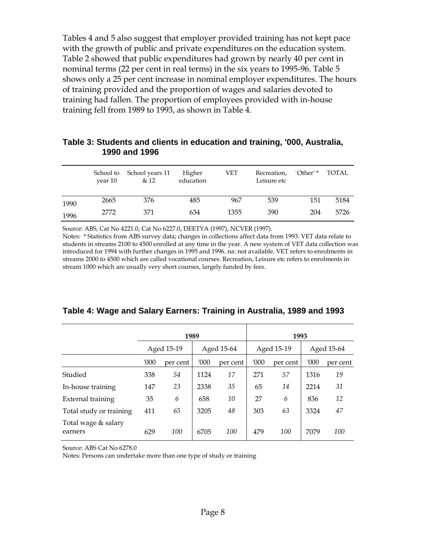Tables 4 and 5 also suggest that employer provided training has not kept pace with the growth of public and private expenditures on the education system. Table 2 showed that public expenditures had grown by nearly 40 per cent in nominal terms (22 per cent in real terms) in the six years to 1995-96. Table 5 shows only a 25 per cent increase in nominal employer expenditures. The hours of training provided and the proportion of wages and salaries devoted to training had fallen. The proportion of employees provided with in-house training fell from 1989 to 1993, as shown in Table 4.

#### **Table 3: Students and clients in education and training, '000, Australia, 1990 and 1996**

|      | vear 10 | School to School years 11<br>& 12 | Higher<br>education | VET  | Recreation,<br>Leisure etc | `Other' * | <b>TOTAL</b> |
|------|---------|-----------------------------------|---------------------|------|----------------------------|-----------|--------------|
| 1990 | 2665    | 376                               | 485                 | 967  | 539                        | 151       | 5184         |
| 1996 | 2772    | 371                               | 634                 | 1355 | 390                        | 204       | 5726         |

Source: ABS, Cat No 4221.0, Cat No 6227.0, DEETYA (1997), NCVER (1997).

Notes: \* Statistics from ABS survey data; changes in collections affect data from 1993. VET data relate to students in streams 2100 to 4500 enrolled at any time in the year. A new system of VET data collection was introduced for 1994 with further changes in 1995 and 1996. na: not available. VET refers to enrolments in streams 2000 to 4500 which are called vocational courses. Recreation, Leisure etc refers to enrolments in stream 1000 which are usually very short courses, largely funded by fees.

|  |  | Table 4: Wage and Salary Earners: Training in Australia, 1989 and 1993 |
|--|--|------------------------------------------------------------------------|
|--|--|------------------------------------------------------------------------|

|                                | 1989       |          |            |          | 1993       |          |            |          |
|--------------------------------|------------|----------|------------|----------|------------|----------|------------|----------|
|                                | Aged 15-19 |          | Aged 15-64 |          | Aged 15-19 |          | Aged 15-64 |          |
|                                | '000'      | per cent | '000'      | per cent | '000       | per cent | '000       | per cent |
| Studied                        | 338        | 54       | 1124       | 17       | 271        | 57       | 1316       | 19       |
| In-house training              | 147        | 23       | 2338       | 35       | 65         | 14       | 2214       | 31       |
| External training              | 35         | 6        | 658        | 10       | 27         | 6        | 836        | 12       |
| Total study or training        | 411        | 65       | 3205       | 48       | 303        | 63       | 3324       | 47       |
| Total wage & salary<br>earners | 629        | 100      | 6705       | 100      | 479        | 100      | 7079       | 100      |

Source: ABS Cat No 6278.0

Notes: Persons can undertake more than one type of study or training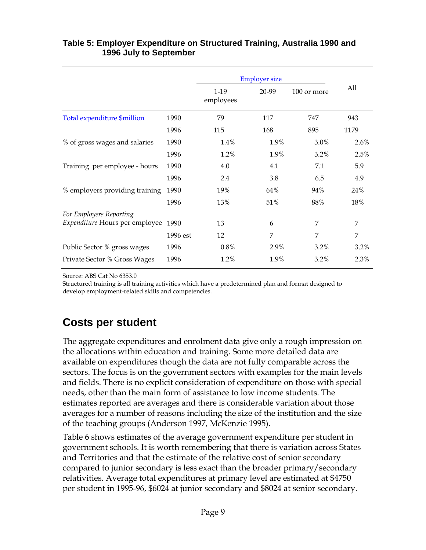#### **Table 5: Employer Expenditure on Structured Training, Australia 1990 and 1996 July to September**

|                                                           |          | <b>Employer size</b> |       |             |      |
|-----------------------------------------------------------|----------|----------------------|-------|-------------|------|
|                                                           |          | $1-19$<br>employees  | 20-99 | 100 or more | All  |
| Total expenditure \$million                               | 1990     | 79                   | 117   | 747         | 943  |
|                                                           | 1996     | 115                  | 168   | 895         | 1179 |
| % of gross wages and salaries                             | 1990     | 1.4%                 | 1.9%  | 3.0%        | 2.6% |
|                                                           | 1996     | 1.2%                 | 1.9%  | 3.2%        | 2.5% |
| Training per employee - hours                             | 1990     | 4.0                  | 4.1   | 7.1         | 5.9  |
|                                                           | 1996     | 2.4                  | 3.8   | 6.5         | 4.9  |
| % employers providing training                            | 1990     | 19%                  | 64%   | 94%         | 24%  |
|                                                           | 1996     | 13%                  | 51%   | 88%         | 18%  |
| For Employers Reporting<br>Expenditure Hours per employee | 1990     | 13                   | 6     | 7           | 7    |
|                                                           | 1996 est | 12                   | 7     | 7           | 7    |
| Public Sector % gross wages                               | 1996     | 0.8%                 | 2.9%  | 3.2%        | 3.2% |
| Private Sector % Gross Wages                              | 1996     | 1.2%                 | 1.9%  | 3.2%        | 2.3% |

Source: ABS Cat No 6353.0

Structured training is all training activities which have a predetermined plan and format designed to develop employment-related skills and competencies.

## **Costs per student**

The aggregate expenditures and enrolment data give only a rough impression on the allocations within education and training. Some more detailed data are available on expenditures though the data are not fully comparable across the sectors. The focus is on the government sectors with examples for the main levels and fields. There is no explicit consideration of expenditure on those with special needs, other than the main form of assistance to low income students. The estimates reported are averages and there is considerable variation about those averages for a number of reasons including the size of the institution and the size of the teaching groups (Anderson 1997, McKenzie 1995).

Table 6 shows estimates of the average government expenditure per student in government schools. It is worth remembering that there is variation across States and Territories and that the estimate of the relative cost of senior secondary compared to junior secondary is less exact than the broader primary/secondary relativities. Average total expenditures at primary level are estimated at \$4750 per student in 1995-96, \$6024 at junior secondary and \$8024 at senior secondary.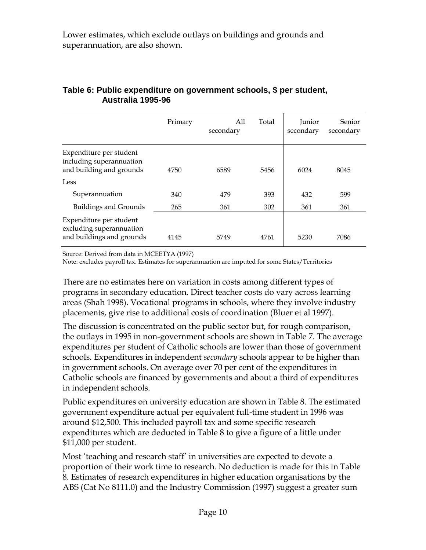Lower estimates, which exclude outlays on buildings and grounds and superannuation, are also shown.

|                                                                                  | Primary | A11<br>secondary | Total | Junior<br>secondary | Senior<br>secondary |
|----------------------------------------------------------------------------------|---------|------------------|-------|---------------------|---------------------|
| Expenditure per student<br>including superannuation<br>and building and grounds  | 4750    | 6589             | 5456  | 6024                | 8045                |
| Less                                                                             |         |                  |       |                     |                     |
| Superannuation                                                                   | 340     | 479              | 393   | 432                 | 599                 |
| <b>Buildings and Grounds</b>                                                     | 265     | 361              | 302   | 361                 | 361                 |
| Expenditure per student<br>excluding superannuation<br>and buildings and grounds | 4145    | 5749             | 4761  | 5230                | 7086                |

#### **Table 6: Public expenditure on government schools, \$ per student, Australia 1995-96**

Source: Derived from data in MCEETYA (1997)

Note: excludes payroll tax. Estimates for superannuation are imputed for some States/Territories

There are no estimates here on variation in costs among different types of programs in secondary education. Direct teacher costs do vary across learning areas (Shah 1998). Vocational programs in schools, where they involve industry placements, give rise to additional costs of coordination (Bluer et al 1997).

The discussion is concentrated on the public sector but, for rough comparison, the outlays in 1995 in non-government schools are shown in Table 7. The average expenditures per student of Catholic schools are lower than those of government schools. Expenditures in independent *secondary* schools appear to be higher than in government schools. On average over 70 per cent of the expenditures in Catholic schools are financed by governments and about a third of expenditures in independent schools.

Public expenditures on university education are shown in Table 8. The estimated government expenditure actual per equivalent full-time student in 1996 was around \$12,500. This included payroll tax and some specific research expenditures which are deducted in Table 8 to give a figure of a little under \$11,000 per student.

Most 'teaching and research staff' in universities are expected to devote a proportion of their work time to research. No deduction is made for this in Table 8. Estimates of research expenditures in higher education organisations by the ABS (Cat No 8111.0) and the Industry Commission (1997) suggest a greater sum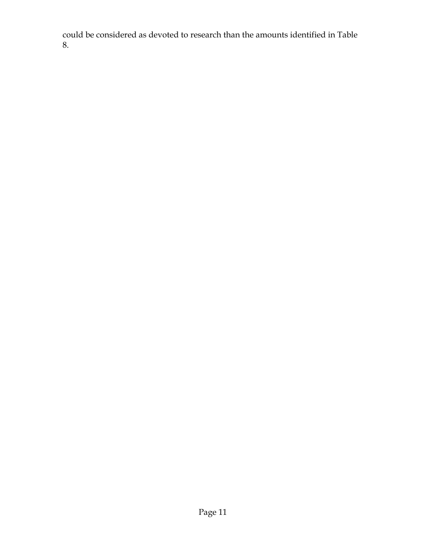could be considered as devoted to research than the amounts identified in Table 8.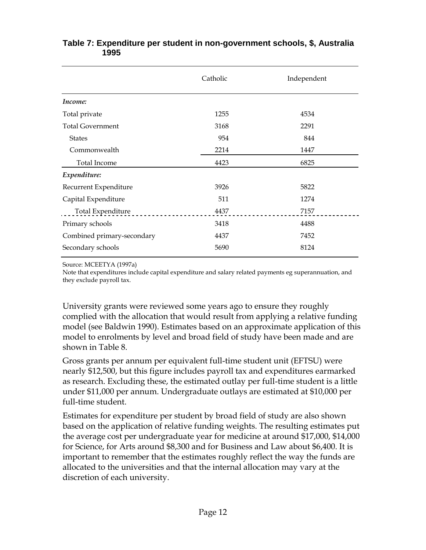|                            | Catholic | Independent |
|----------------------------|----------|-------------|
| Income:                    |          |             |
| Total private              | 1255     | 4534        |
| <b>Total Government</b>    | 3168     | 2291        |
| <b>States</b>              | 954      | 844         |
| Commonwealth               | 2214     | 1447        |
| <b>Total Income</b>        | 4423     | 6825        |
| Expenditure:               |          |             |
| Recurrent Expenditure      | 3926     | 5822        |
| Capital Expenditure        | 511      | 1274        |
| Total Expenditure          | 4437     | 7157        |
| Primary schools            | 3418     | 4488        |
| Combined primary-secondary | 4437     | 7452        |
| Secondary schools          | 5690     | 8124        |

#### **Table 7: Expenditure per student in non-government schools, \$, Australia 1995**

Source: MCEETYA (1997a)

Note that expenditures include capital expenditure and salary related payments eg superannuation, and they exclude payroll tax.

University grants were reviewed some years ago to ensure they roughly complied with the allocation that would result from applying a relative funding model (see Baldwin 1990). Estimates based on an approximate application of this model to enrolments by level and broad field of study have been made and are shown in Table 8.

Gross grants per annum per equivalent full-time student unit (EFTSU) were nearly \$12,500, but this figure includes payroll tax and expenditures earmarked as research. Excluding these, the estimated outlay per full-time student is a little under \$11,000 per annum. Undergraduate outlays are estimated at \$10,000 per full-time student.

Estimates for expenditure per student by broad field of study are also shown based on the application of relative funding weights. The resulting estimates put the average cost per undergraduate year for medicine at around \$17,000, \$14,000 for Science, for Arts around \$8,300 and for Business and Law about \$6,400. It is important to remember that the estimates roughly reflect the way the funds are allocated to the universities and that the internal allocation may vary at the discretion of each university.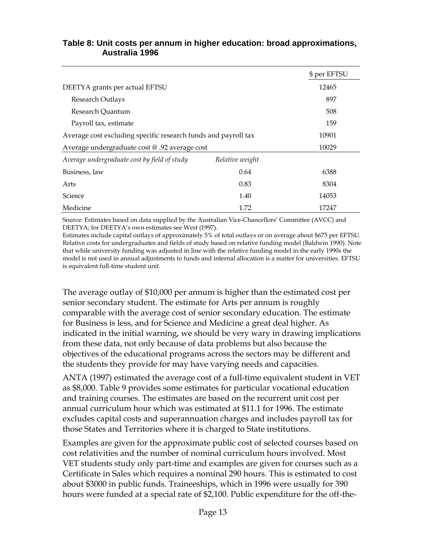#### **Table 8: Unit costs per annum in higher education: broad approximations, Australia 1996**

|                                                                |                 | \$ per EFTSU |
|----------------------------------------------------------------|-----------------|--------------|
| DEETYA grants per actual EFTSU                                 |                 | 12465        |
| Research Outlays                                               |                 | 897          |
| Research Quantum                                               |                 | 508          |
| Payroll tax, estimate                                          |                 | 159          |
| Average cost excluding specific research funds and payroll tax | 10901           |              |
| Average undergraduate cost @ .92 average cost                  |                 | 10029        |
| Average undergraduate cost by field of study                   | Relative weight |              |
| Business, law                                                  | 0.64            | 6388         |
| Arts                                                           | 0.83            | 8304         |
| Science                                                        | 1.40            | 14053        |
| Medicine                                                       | 1.72            | 17247        |

Source: Estimates based on data supplied by the Australian Vice-Chancellors' Committee (AVCC) and DEETYA; for DEETYA's own estimates see West (1997).

Estimates include capital outlays of approximately 5% of total outlays or on average about \$675 per EFTSU. Relative costs for undergraduates and fields of study based on relative funding model (Baldwin 1990). Note that while university funding was adjusted in line with the relative funding model in the early 1990s the model is not used in annual adjustments to funds and internal allocation is a matter for universities. EFTSU is equivalent full-time student unit.

The average outlay of \$10,000 per annum is higher than the estimated cost per senior secondary student. The estimate for Arts per annum is roughly comparable with the average cost of senior secondary education. The estimate for Business is less, and for Science and Medicine a great deal higher. As indicated in the initial warning, we should be very wary in drawing implications from these data, not only because of data problems but also because the objectives of the educational programs across the sectors may be different and the students they provide for may have varying needs and capacities.

ANTA (1997) estimated the average cost of a full-time equivalent student in VET as \$8,000. Table 9 provides some estimates for particular vocational education and training courses. The estimates are based on the recurrent unit cost per annual curriculum hour which was estimated at \$11.1 for 1996. The estimate excludes capital costs and superannuation charges and includes payroll tax for those States and Territories where it is charged to State institutions.

Examples are given for the approximate public cost of selected courses based on cost relativities and the number of nominal curriculum hours involved. Most VET students study only part-time and examples are given for courses such as a Certificate in Sales which requires a nominal 290 hours. This is estimated to cost about \$3000 in public funds. Traineeships, which in 1996 were usually for 390 hours were funded at a special rate of \$2,100. Public expenditure for the off-the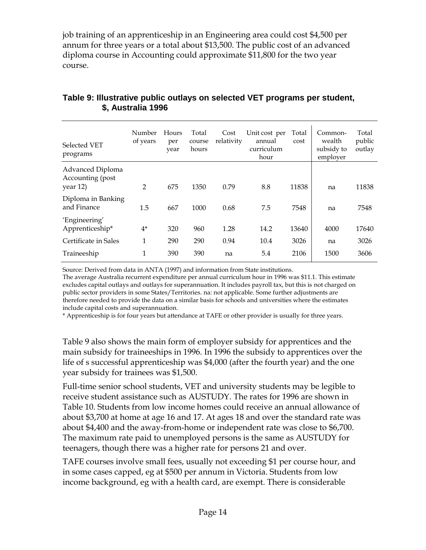job training of an apprenticeship in an Engineering area could cost \$4,500 per annum for three years or a total about \$13,500. The public cost of an advanced diploma course in Accounting could approximate \$11,800 for the two year course.

| Selected VET<br>programs                            | Number<br>of years | Hours<br>per<br>year | Total<br>course<br>hours | Cost<br>relativity | Unit cost per<br>annual<br>curriculum<br>hour | Total<br>cost | Common-<br>wealth<br>subsidy to<br>employer | Total<br>public<br>outlay |
|-----------------------------------------------------|--------------------|----------------------|--------------------------|--------------------|-----------------------------------------------|---------------|---------------------------------------------|---------------------------|
| Advanced Diploma<br>Accounting (post<br>year $12$ ) | $\overline{2}$     | 675                  | 1350                     | 0.79               | 8.8                                           | 11838         | na                                          | 11838                     |
| Diploma in Banking<br>and Finance                   | 1.5                | 667                  | 1000                     | 0.68               | 7.5                                           | 7548          | na                                          | 7548                      |
| 'Engineering'<br>Apprenticeship*                    | $4^*$              | 320                  | 960                      | 1.28               | 14.2                                          | 13640         | 4000                                        | 17640                     |
| Certificate in Sales                                | 1                  | 290                  | 290                      | 0.94               | 10.4                                          | 3026          | na                                          | 3026                      |
| Traineeship                                         | $\mathbf{1}$       | 390                  | 390                      | na                 | 5.4                                           | 2106          | 1500                                        | 3606                      |

### **Table 9: Illustrative public outlays on selected VET programs per student, \$, Australia 1996**

Source: Derived from data in ANTA (1997) and information from State institutions.

The average Australia recurrent expenditure per annual curriculum hour in 1996 was \$11.1. This estimate excludes capital outlays and outlays for superannuation. It includes payroll tax, but this is not charged on public sector providers in some States/Territories. na: not applicable. Some further adjustments are therefore needed to provide the data on a similar basis for schools and universities where the estimates include capital costs and superannuation.

\* Apprenticeship is for four years but attendance at TAFE or other provider is usually for three years.

Table 9 also shows the main form of employer subsidy for apprentices and the main subsidy for traineeships in 1996. In 1996 the subsidy to apprentices over the life of s successful apprenticeship was \$4,000 (after the fourth year) and the one year subsidy for trainees was \$1,500.

Full-time senior school students, VET and university students may be legible to receive student assistance such as AUSTUDY. The rates for 1996 are shown in Table 10. Students from low income homes could receive an annual allowance of about \$3,700 at home at age 16 and 17. At ages 18 and over the standard rate was about \$4,400 and the away-from-home or independent rate was close to \$6,700. The maximum rate paid to unemployed persons is the same as AUSTUDY for teenagers, though there was a higher rate for persons 21 and over.

TAFE courses involve small fees, usually not exceeding \$1 per course hour, and in some cases capped, eg at \$500 per annum in Victoria. Students from low income background, eg with a health card, are exempt. There is considerable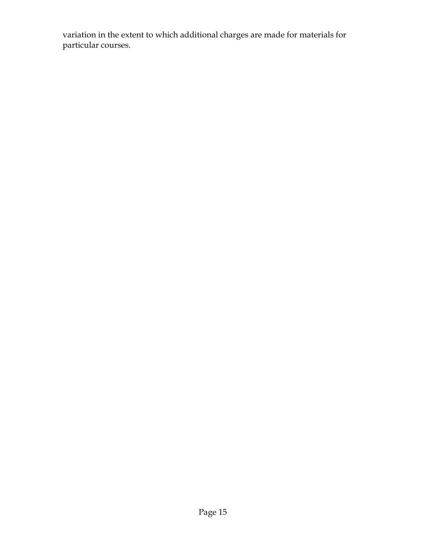variation in the extent to which additional charges are made for materials for particular courses.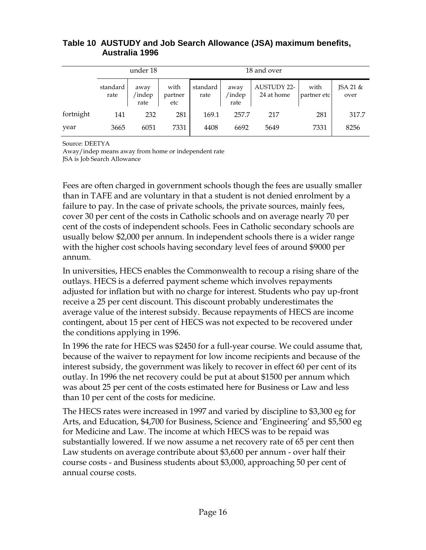#### **Table 10 AUSTUDY and Job Search Allowance (JSA) maximum benefits, Australia 1996**

|           |                  | under 18               |                        |                  | 18 and over            |                                  |                     |                  |  |
|-----------|------------------|------------------------|------------------------|------------------|------------------------|----------------------------------|---------------------|------------------|--|
|           | standard<br>rate | away<br>/indep<br>rate | with<br>partner<br>etc | standard<br>rate | away<br>indep/<br>rate | <b>AUSTUDY 22-</b><br>24 at home | with<br>partner etc | JSA 21 &<br>over |  |
| fortnight | 141              | 232                    | 281                    | 169.1            | 257.7                  | 217                              | 281                 | 317.7            |  |
| year      | 3665             | 6051                   | 7331                   | 4408             | 6692                   | 5649                             | 7331                | 8256             |  |

Source: DEETYA

Away/indep means away from home or independent rate JSA is Job Search Allowance

Fees are often charged in government schools though the fees are usually smaller than in TAFE and are voluntary in that a student is not denied enrolment by a failure to pay. In the case of private schools, the private sources, mainly fees, cover 30 per cent of the costs in Catholic schools and on average nearly 70 per cent of the costs of independent schools. Fees in Catholic secondary schools are usually below \$2,000 per annum. In independent schools there is a wider range with the higher cost schools having secondary level fees of around \$9000 per annum.

In universities, HECS enables the Commonwealth to recoup a rising share of the outlays. HECS is a deferred payment scheme which involves repayments adjusted for inflation but with no charge for interest. Students who pay up-front receive a 25 per cent discount. This discount probably underestimates the average value of the interest subsidy. Because repayments of HECS are income contingent, about 15 per cent of HECS was not expected to be recovered under the conditions applying in 1996.

In 1996 the rate for HECS was \$2450 for a full-year course. We could assume that, because of the waiver to repayment for low income recipients and because of the interest subsidy, the government was likely to recover in effect 60 per cent of its outlay. In 1996 the net recovery could be put at about \$1500 per annum which was about 25 per cent of the costs estimated here for Business or Law and less than 10 per cent of the costs for medicine.

The HECS rates were increased in 1997 and varied by discipline to \$3,300 eg for Arts, and Education, \$4,700 for Business, Science and 'Engineering' and \$5,500 eg for Medicine and Law. The income at which HECS was to be repaid was substantially lowered. If we now assume a net recovery rate of 65 per cent then Law students on average contribute about \$3,600 per annum - over half their course costs - and Business students about \$3,000, approaching 50 per cent of annual course costs.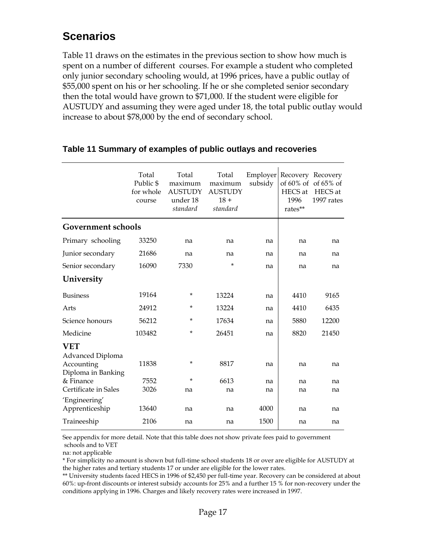## **Scenarios**

Table 11 draws on the estimates in the previous section to show how much is spent on a number of different courses. For example a student who completed only junior secondary schooling would, at 1996 prices, have a public outlay of \$55,000 spent on his or her schooling. If he or she completed senior secondary then the total would have grown to \$71,000. If the student were eligible for AUSTUDY and assuming they were aged under 18, the total public outlay would increase to about \$78,000 by the end of secondary school.

|                                                                                 | Total<br>Public \$<br>for whole<br>course | Total<br>maximum<br><b>AUSTUDY</b><br>under 18<br>standard | Total<br>maximum<br><b>AUSTUDY</b><br>$18 +$<br>standard | Employer<br>subsidy | Recovery Recovery<br>HECS at<br>1996<br>rates** | of $60\%$ of of $65\%$ of<br>HECS at<br>1997 rates |
|---------------------------------------------------------------------------------|-------------------------------------------|------------------------------------------------------------|----------------------------------------------------------|---------------------|-------------------------------------------------|----------------------------------------------------|
| <b>Government schools</b>                                                       |                                           |                                                            |                                                          |                     |                                                 |                                                    |
| Primary schooling                                                               | 33250                                     | na                                                         | na                                                       | na                  | na                                              | na                                                 |
| Junior secondary                                                                | 21686                                     | na                                                         | na                                                       | na                  | na                                              | na                                                 |
| Senior secondary                                                                | 16090                                     | 7330                                                       | $\star$                                                  | na                  | na                                              | na                                                 |
| University                                                                      |                                           |                                                            |                                                          |                     |                                                 |                                                    |
| <b>Business</b>                                                                 | 19164                                     | *                                                          | 13224                                                    | na                  | 4410                                            | 9165                                               |
| Arts                                                                            | 24912                                     | *                                                          | 13224                                                    | na                  | 4410                                            | 6435                                               |
| Science honours                                                                 | 56212                                     | ×.                                                         | 17634                                                    | na                  | 5880                                            | 12200                                              |
| Medicine                                                                        | 103482                                    | *                                                          | 26451                                                    | na                  | 8820                                            | 21450                                              |
| <b>VET</b><br>Advanced Diploma<br>Accounting<br>Diploma in Banking<br>& Finance | 11838<br>7552                             | *<br>*                                                     | 8817<br>6613                                             | na<br>na            | na<br>na                                        | na<br>na                                           |
| Certificate in Sales                                                            | 3026                                      | na                                                         | na                                                       | na                  | na                                              | na                                                 |
| 'Engineering'<br>Apprenticeship                                                 | 13640                                     | na                                                         | na                                                       | 4000                | na                                              | na                                                 |
| Traineeship                                                                     | 2106                                      | na                                                         | na                                                       | 1500                | na                                              | na                                                 |

### **Table 11 Summary of examples of public outlays and recoveries**

See appendix for more detail. Note that this table does not show private fees paid to government schools and to VET

na: not applicable

\* For simplicity no amount is shown but full-time school students 18 or over are eligible for AUSTUDY at the higher rates and tertiary students 17 or under are eligible for the lower rates.

\*\* University students faced HECS in 1996 of \$2,450 per full-time year. Recovery can be considered at about 60%: up-front discounts or interest subsidy accounts for 25% and a further 15 % for non-recovery under the conditions applying in 1996. Charges and likely recovery rates were increased in 1997.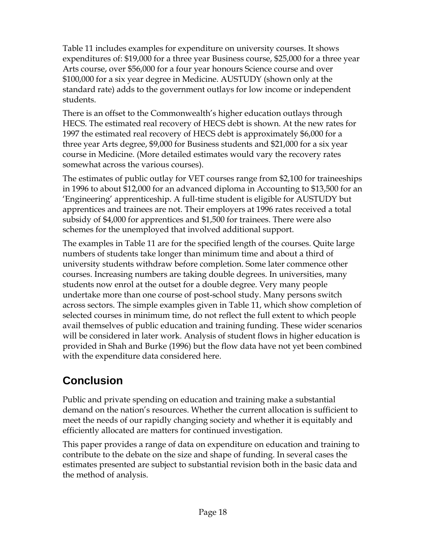Table 11 includes examples for expenditure on university courses. It shows expenditures of: \$19,000 for a three year Business course, \$25,000 for a three year Arts course, over \$56,000 for a four year honours Science course and over \$100,000 for a six year degree in Medicine. AUSTUDY (shown only at the standard rate) adds to the government outlays for low income or independent students.

There is an offset to the Commonwealth's higher education outlays through HECS. The estimated real recovery of HECS debt is shown. At the new rates for 1997 the estimated real recovery of HECS debt is approximately \$6,000 for a three year Arts degree, \$9,000 for Business students and \$21,000 for a six year course in Medicine. (More detailed estimates would vary the recovery rates somewhat across the various courses).

The estimates of public outlay for VET courses range from \$2,100 for traineeships in 1996 to about \$12,000 for an advanced diploma in Accounting to \$13,500 for an 'Engineering' apprenticeship. A full-time student is eligible for AUSTUDY but apprentices and trainees are not. Their employers at 1996 rates received a total subsidy of \$4,000 for apprentices and \$1,500 for trainees. There were also schemes for the unemployed that involved additional support.

The examples in Table 11 are for the specified length of the courses. Quite large numbers of students take longer than minimum time and about a third of university students withdraw before completion. Some later commence other courses. Increasing numbers are taking double degrees. In universities, many students now enrol at the outset for a double degree. Very many people undertake more than one course of post-school study. Many persons switch across sectors. The simple examples given in Table 11, which show completion of selected courses in minimum time, do not reflect the full extent to which people avail themselves of public education and training funding. These wider scenarios will be considered in later work. Analysis of student flows in higher education is provided in Shah and Burke (1996) but the flow data have not yet been combined with the expenditure data considered here.

# **Conclusion**

Public and private spending on education and training make a substantial demand on the nation's resources. Whether the current allocation is sufficient to meet the needs of our rapidly changing society and whether it is equitably and efficiently allocated are matters for continued investigation.

This paper provides a range of data on expenditure on education and training to contribute to the debate on the size and shape of funding. In several cases the estimates presented are subject to substantial revision both in the basic data and the method of analysis.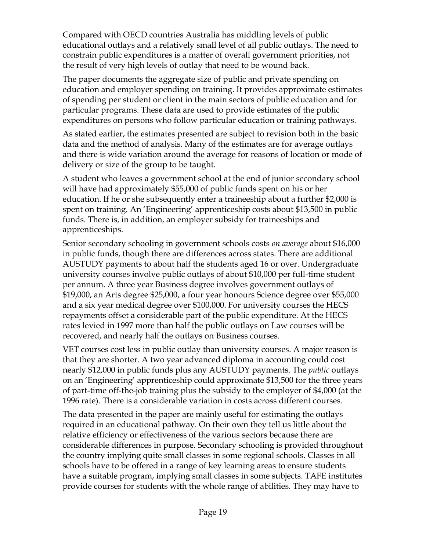Compared with OECD countries Australia has middling levels of public educational outlays and a relatively small level of all public outlays. The need to constrain public expenditures is a matter of overall government priorities, not the result of very high levels of outlay that need to be wound back.

The paper documents the aggregate size of public and private spending on education and employer spending on training. It provides approximate estimates of spending per student or client in the main sectors of public education and for particular programs. These data are used to provide estimates of the public expenditures on persons who follow particular education or training pathways.

As stated earlier, the estimates presented are subject to revision both in the basic data and the method of analysis. Many of the estimates are for average outlays and there is wide variation around the average for reasons of location or mode of delivery or size of the group to be taught.

A student who leaves a government school at the end of junior secondary school will have had approximately \$55,000 of public funds spent on his or her education. If he or she subsequently enter a traineeship about a further \$2,000 is spent on training. An 'Engineering' apprenticeship costs about \$13,500 in public funds. There is, in addition, an employer subsidy for traineeships and apprenticeships.

Senior secondary schooling in government schools costs *on average* about \$16,000 in public funds, though there are differences across states. There are additional AUSTUDY payments to about half the students aged 16 or over. Undergraduate university courses involve public outlays of about \$10,000 per full-time student per annum. A three year Business degree involves government outlays of \$19,000, an Arts degree \$25,000, a four year honours Science degree over \$55,000 and a six year medical degree over \$100,000. For university courses the HECS repayments offset a considerable part of the public expenditure. At the HECS rates levied in 1997 more than half the public outlays on Law courses will be recovered, and nearly half the outlays on Business courses.

VET courses cost less in public outlay than university courses. A major reason is that they are shorter. A two year advanced diploma in accounting could cost nearly \$12,000 in public funds plus any AUSTUDY payments. The *public* outlays on an 'Engineering' apprenticeship could approximate \$13,500 for the three years of part-time off-the-job training plus the subsidy to the employer of \$4,000 (at the 1996 rate). There is a considerable variation in costs across different courses.

The data presented in the paper are mainly useful for estimating the outlays required in an educational pathway. On their own they tell us little about the relative efficiency or effectiveness of the various sectors because there are considerable differences in purpose. Secondary schooling is provided throughout the country implying quite small classes in some regional schools. Classes in all schools have to be offered in a range of key learning areas to ensure students have a suitable program, implying small classes in some subjects. TAFE institutes provide courses for students with the whole range of abilities. They may have to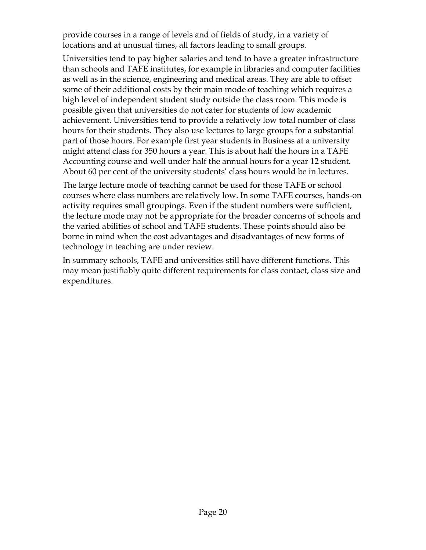provide courses in a range of levels and of fields of study, in a variety of locations and at unusual times, all factors leading to small groups.

Universities tend to pay higher salaries and tend to have a greater infrastructure than schools and TAFE institutes, for example in libraries and computer facilities as well as in the science, engineering and medical areas. They are able to offset some of their additional costs by their main mode of teaching which requires a high level of independent student study outside the class room. This mode is possible given that universities do not cater for students of low academic achievement. Universities tend to provide a relatively low total number of class hours for their students. They also use lectures to large groups for a substantial part of those hours. For example first year students in Business at a university might attend class for 350 hours a year. This is about half the hours in a TAFE Accounting course and well under half the annual hours for a year 12 student. About 60 per cent of the university students' class hours would be in lectures.

The large lecture mode of teaching cannot be used for those TAFE or school courses where class numbers are relatively low. In some TAFE courses, hands-on activity requires small groupings. Even if the student numbers were sufficient, the lecture mode may not be appropriate for the broader concerns of schools and the varied abilities of school and TAFE students. These points should also be borne in mind when the cost advantages and disadvantages of new forms of technology in teaching are under review.

In summary schools, TAFE and universities still have different functions. This may mean justifiably quite different requirements for class contact, class size and expenditures.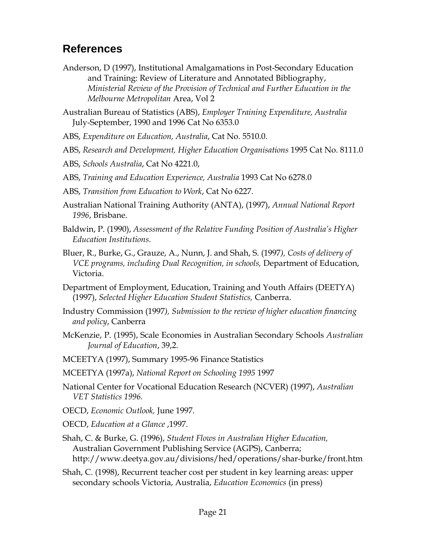## **References**

- Anderson, D (1997), Institutional Amalgamations in Post-Secondary Education and Training: Review of Literature and Annotated Bibliography, *Ministerial Review of the Provision of Technical and Further Education in the Melbourne Metropolitan* Area, Vol 2
- Australian Bureau of Statistics (ABS), *Employer Training Expenditure, Australia* July-September, 1990 and 1996 Cat No 6353.0
- ABS, *Expenditure on Education, Australia*, Cat No. 5510.0.
- ABS, *Research and Development, Higher Education Organisations* 1995 Cat No. 8111.0
- ABS, *Schools Australia*, Cat No 4221.0,
- ABS, *Training and Education Experience, Australia* 1993 Cat No 6278.0
- ABS, *Transition from Education to Work*, Cat No 6227.
- Australian National Training Authority (ANTA), (1997), *Annual National Report 1996*, Brisbane.
- Baldwin, P. (1990), *Assessment of the Relative Funding Position of Australia's Higher Education Institutions*.
- Bluer, R., Burke, G., Grauze, A., Nunn, J. and Shah, S. (1997*), Costs of delivery of VCE programs, including Dual Recognition, in schools,* Department of Education, Victoria.
- Department of Employment, Education, Training and Youth Affairs (DEETYA) (1997), *Selected Higher Education Student Statistics,* Canberra.
- Industry Commission (1997*), Submission to the review of higher education financing and policy*, Canberra
- McKenzie, P. (1995), Scale Economies in Australian Secondary Schools *Australian Journal of Education*, 39,2.
- MCEETYA (1997), Summary 1995-96 Finance Statistics
- MCEETYA (1997a), *National Report on Schooling 1995* 1997
- National Center for Vocational Education Research (NCVER) (1997), *Australian VET Statistics 1996.*
- OECD, *Economic Outlook,* June 1997.
- OECD, *Education at a Glance* ,1997.
- Shah, C. & Burke, G. (1996), *Student Flows in Australian Higher Education,* Australian Government Publishing Service (AGPS), Canberra; http://www.deetya.gov.au/divisions/hed/operations/shar-burke/front.htm
- Shah, C. (1998), Recurrent teacher cost per student in key learning areas: upper secondary schools Victoria, Australia, *Education Economics* (in press)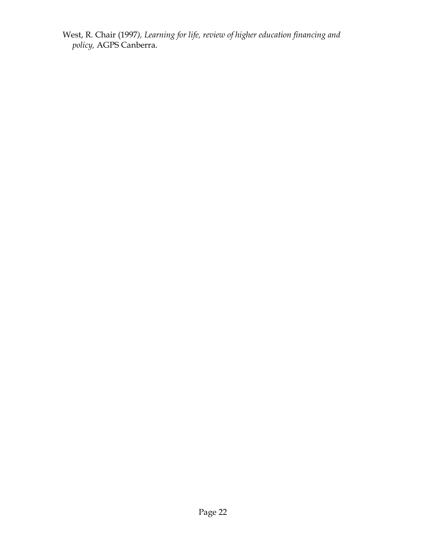West, R. Chair (1997*), Learning for life, review of higher education financing and policy,* AGPS Canberra.